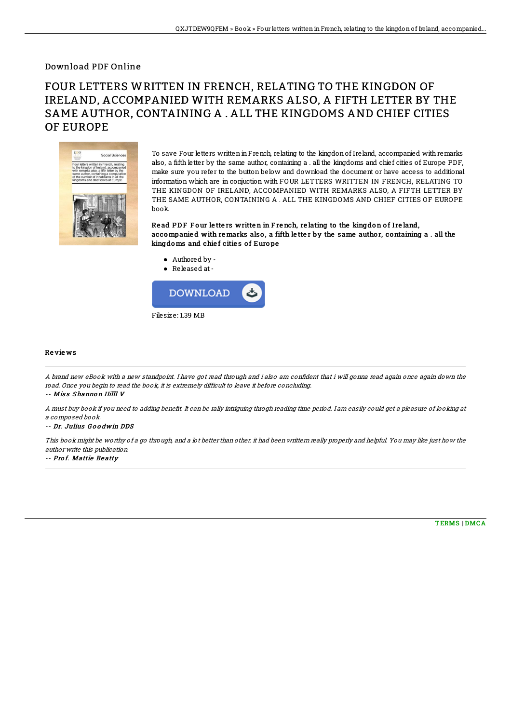## Download PDF Online

# FOUR LETTERS WRITTEN IN FRENCH, RELATING TO THE KINGDON OF IRELAND, ACCOMPANIED WITH REMARKS ALSO, A FIFTH LETTER BY THE SAME AUTHOR, CONTAINING A . ALL THE KINGDOMS AND CHIEF CITIES OF EUROPE



To save Four letters written in French, relating to the kingdon of Ireland, accompanied with remarks also, a fifth letter by the same author, containing a . all the kingdoms and chief cities of Europe PDF, make sure you refer to the button below and download the document or have access to additional information which are in conjuction with FOUR LETTERS WRITTEN IN FRENCH, RELATING TO THE KINGDON OF IRELAND, ACCOMPANIED WITH REMARKS ALSO, A FIFTH LETTER BY THE SAME AUTHOR, CONTAINING A . ALL THE KINGDOMS AND CHIEF CITIES OF EUROPE book.

Read PDF Four letters written in French, relating to the kingdon of Ireland, accompanied with remarks also, a fifth letter by the same author, containing a . all the kingdoms and chief cities of Europe

- Authored by -
- Released at-



### Re vie ws

A brand new eBook with a new standpoint. I have got read through and i also am confident that i will gonna read again once again down the road. Once you begin to read the book, it is extremely difficult to leave it before concluding.

#### -- Miss Shannon Hilll V

A must buy book if you need to adding benefit. It can be rally intriguing throgh reading time period. I am easily could get a pleasure of looking at <sup>a</sup> composed book.

-- Dr. Julius G o o dwin DDS

This book might be worthy of <sup>a</sup> go through, and <sup>a</sup> lot better than other. it had been writtern really properly and helpful. You may like just how the author write this publication.

#### -- Prof. Mattie Beatty